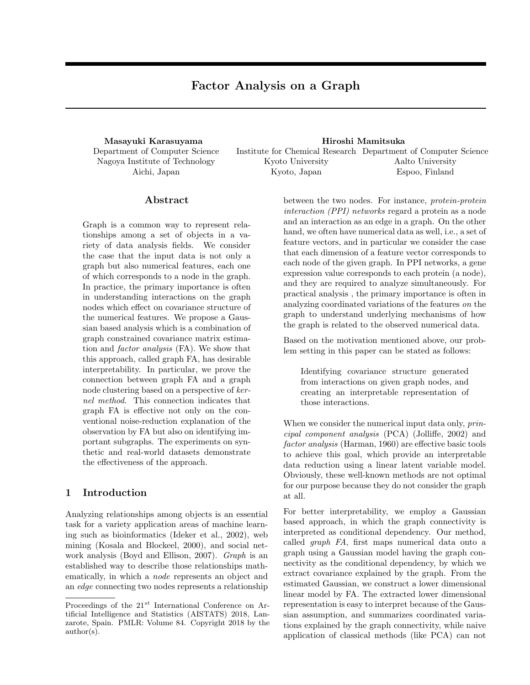Department of Computer Science Nagoya Institute of Technology Aichi, Japan

**Masayuki Karasuyama Hiroshi Mamitsuka** Institute for Chemical Research Department of Computer Science Kyoto University Kyoto, Japan Aalto University Espoo, Finland

## **Abstract**

Graph is a common way to represent relationships among a set of objects in a variety of data analysis fields. We consider the case that the input data is not only a graph but also numerical features, each one of which corresponds to a node in the graph. In practice, the primary importance is often in understanding interactions on the graph nodes which effect on covariance structure of the numerical features. We propose a Gaussian based analysis which is a combination of graph constrained covariance matrix estimation and *factor analysis* (FA). We show that this approach, called graph FA, has desirable interpretability. In particular, we prove the connection between graph FA and a graph node clustering based on a perspective of *kernel method*. This connection indicates that graph FA is effective not only on the conventional noise-reduction explanation of the observation by FA but also on identifying important subgraphs. The experiments on synthetic and real-world datasets demonstrate the effectiveness of the approach.

## **1 Introduction**

Analyzing relationships among objects is an essential task for a variety application areas of machine learning such as bioinformatics (Ideker et al., 2002), web mining (Kosala and Blockeel, 2000), and social network analysis (Boyd and Ellison, 2007). *Graph* is an established way to describe those relationships mathematically, in which a *node* represents an object and an *edge* connecting two nodes represents a relationship between the two nodes. For instance, *protein-protein interaction (PPI) networks* regard a protein as a node and an interaction as an edge in a graph. On the other hand, we often have numerical data as well, i.e., a set of feature vectors, and in particular we consider the case that each dimension of a feature vector corresponds to each node of the given graph. In PPI networks, a gene expression value corresponds to each protein (a node), and they are required to analyze simultaneously. For practical analysis , the primary importance is often in analyzing coordinated variations of the features *on* the graph to understand underlying mechanisms of how the graph is related to the observed numerical data.

Based on the motivation mentioned above, our problem setting in this paper can be stated as follows:

Identifying covariance structure generated from interactions on given graph nodes, and creating an interpretable representation of those interactions.

When we consider the numerical input data only, *principal component analysis* (PCA) (Jolliffe, 2002) and *factor analysis* (Harman, 1960) are effective basic tools to achieve this goal, which provide an interpretable data reduction using a linear latent variable model. Obviously, these well-known methods are not optimal for our purpose because they do not consider the graph at all.

For better interpretability, we employ a Gaussian based approach, in which the graph connectivity is interpreted as conditional dependency. Our method, called *graph FA*, first maps numerical data onto a graph using a Gaussian model having the graph connectivity as the conditional dependency, by which we extract covariance explained by the graph. From the estimated Gaussian, we construct a lower dimensional linear model by FA. The extracted lower dimensional representation is easy to interpret because of the Gaussian assumption, and summarizes coordinated variations explained by the graph connectivity, while naive application of classical methods (like PCA) can not

Proceedings of the 21*st* International Conference on Artificial Intelligence and Statistics (AISTATS) 2018, Lanzarote, Spain. PMLR: Volume 84. Copyright 2018 by the author(s).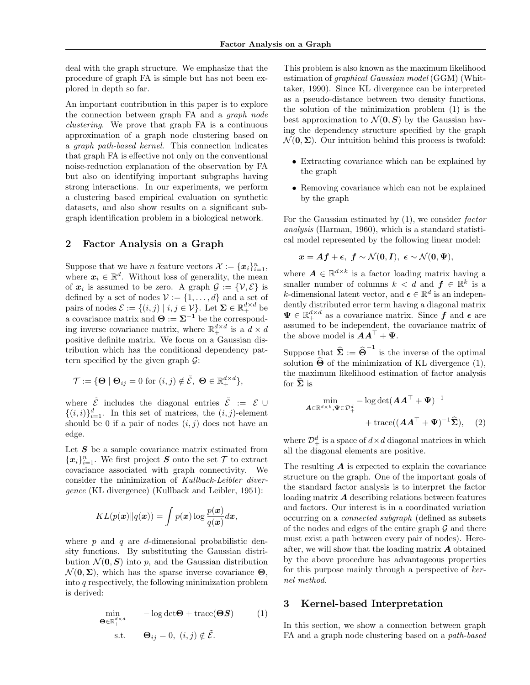deal with the graph structure. We emphasize that the procedure of graph FA is simple but has not been explored in depth so far.

An important contribution in this paper is to explore the connection between graph FA and a *graph node clustering*. We prove that graph FA is a continuous approximation of a graph node clustering based on a *graph path-based kernel*. This connection indicates that graph FA is effective not only on the conventional noise-reduction explanation of the observation by FA but also on identifying important subgraphs having strong interactions. In our experiments, we perform a clustering based empirical evaluation on synthetic datasets, and also show results on a significant subgraph identification problem in a biological network.

## **2 Factor Analysis on a Graph**

Suppose that we have *n* feature vectors  $\mathcal{X} := {\mathbf{x}_i}_{i=1}^n$ , where  $x_i \in \mathbb{R}^d$ . Without loss of generality, the mean of  $x_i$  is assumed to be zero. A graph  $\mathcal{G} := \{ \mathcal{V}, \mathcal{E} \}$  is defined by a set of nodes  $V := \{1, \ldots, d\}$  and a set of pairs of nodes  $\mathcal{E} := \{(i, j) | i, j \in \mathcal{V}\}$ . Let  $\mathbf{\Sigma} \in \mathbb{R}^{d \times d}_+$  be a covariance matrix and  $\Theta := \Sigma^{-1}$  be the corresponding inverse covariance matrix, where  $\mathbb{R}^{d \times d}_+$  is a  $d \times d$ positive definite matrix. We focus on a Gaussian distribution which has the conditional dependency pattern specified by the given graph *G*:

$$
\mathcal{T} := \{ \Theta \mid \Theta_{ij} = 0 \text{ for } (i,j) \notin \tilde{\mathcal{E}}, \ \Theta \in \mathbb{R}^{d \times d}_+ \},
$$

where  $\tilde{\mathcal{E}}$  includes the diagonal entries  $\tilde{\mathcal{E}} := \mathcal{E} \cup$  $\{(i,i)\}_{i=1}^d$ . In this set of matrices, the  $(i,j)$ -element should be 0 if a pair of nodes  $(i, j)$  does not have an edge.

Let S be a sample covariance matrix estimated from  ${x_i}_{i=1}^n$ . We first project *S* onto the set *T* to extract covariance associated with graph connectivity. We consider the minimization of *Kullback-Leibler divergence* (KL divergence) (Kullback and Leibler, 1951):

$$
KL(p(\boldsymbol{x})||q(\boldsymbol{x})) = \int p(\boldsymbol{x}) \log \frac{p(\boldsymbol{x})}{q(\boldsymbol{x})} d\boldsymbol{x},
$$

where *p* and *q* are *d*-dimensional probabilistic density functions. By substituting the Gaussian distribution  $\mathcal{N}(\mathbf{0}, \mathbf{S})$  into p, and the Gaussian distribution  $\mathcal{N}(\mathbf{0}, \mathbf{\Sigma})$ , which has the sparse inverse covariance  $\mathbf{\Theta}$ , into *q* respectively, the following minimization problem is derived:

$$
\begin{array}{ll}\n\min_{\mathbf{\Theta} \in \mathbb{R}_{+}^{d \times d}} & -\log \det \mathbf{\Theta} + \text{trace}(\mathbf{\Theta} \mathbf{S}) & (1) \\
\text{s.t.} & \mathbf{\Theta}_{ij} = 0, (i, j) \notin \tilde{\mathcal{E}}.\n\end{array}
$$

This problem is also known as the maximum likelihood estimation of *graphical Gaussian model* (GGM) (Whittaker, 1990). Since KL divergence can be interpreted as a pseudo-distance between two density functions, the solution of the minimization problem (1) is the best approximation to  $\mathcal{N}(\mathbf{0}, \mathbf{S})$  by the Gaussian having the dependency structure specified by the graph  $\mathcal{N}(\mathbf{0}, \mathbf{\Sigma})$ . Our intuition behind this process is twofold:

- *•* Extracting covariance which can be explained by the graph
- Removing covariance which can not be explained by the graph

For the Gaussian estimated by (1), we consider *factor analysis* (Harman, 1960), which is a standard statistical model represented by the following linear model:

$$
\boldsymbol{x} = \boldsymbol{A} \boldsymbol{f} + \boldsymbol{\epsilon}, \,\, \boldsymbol{f} \sim \mathcal{N}(\boldsymbol{0}, \boldsymbol{I}), \,\, \boldsymbol{\epsilon} \sim \mathcal{N}(\boldsymbol{0}, \boldsymbol{\Psi}),
$$

where  $A \in \mathbb{R}^{d \times k}$  is a factor loading matrix having a smaller number of columns  $k < d$  and  $f \in \mathbb{R}^k$  is a *k*-dimensional latent vector, and  $\boldsymbol{\epsilon} \in \mathbb{R}^d$  is an independently distributed error term having a diagonal matrix  $\Psi \in \mathbb{R}^{d \times d}_+$  as a covariance matrix. Since  $f$  and  $\epsilon$  are assumed to be independent, the covariance matrix of the above model is  $AA^{\dagger} + \Psi$ .

Suppose that  $\hat{\Sigma} := \hat{\Theta}^{-1}$  is the inverse of the optimal solution  $\hat{\Theta}$  of the minimization of KL divergence (1), the maximum likelihood estimation of factor analysis for  $\Sigma$  is

$$
\min_{\mathbf{A}\in\mathbb{R}^{d\times k},\Psi\in\mathcal{D}_{+}^{d}} - \log\det(\mathbf{A}\mathbf{A}^{\top} + \Psi)^{-1}
$$
  
+ trace $((\mathbf{A}\mathbf{A}^{\top} + \Psi)^{-1}\widehat{\Sigma}),$  (2)

where  $\mathcal{D}_{+}^{d}$  is a space of  $d \times d$  diagonal matrices in which all the diagonal elements are positive.

The resulting *A* is expected to explain the covariance structure on the graph. One of the important goals of the standard factor analysis is to interpret the factor loading matrix *A* describing relations between features and factors. Our interest is in a coordinated variation occurring on a *connected subgraph* (defined as subsets of the nodes and edges of the entire graph *G* and there must exist a path between every pair of nodes). Hereafter, we will show that the loading matrix *A* obtained by the above procedure has advantageous properties for this purpose mainly through a perspective of *kernel method*.

# **3 Kernel-based Interpretation**

In this section, we show a connection between graph FA and a graph node clustering based on a *path-based*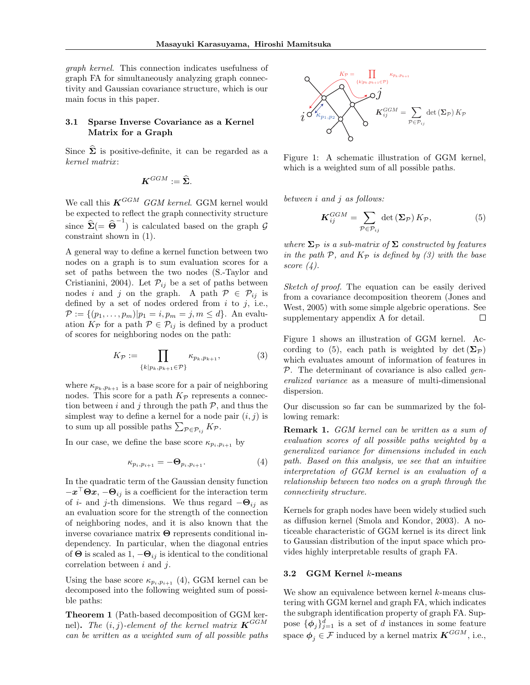*graph kernel*. This connection indicates usefulness of graph FA for simultaneously analyzing graph connectivity and Gaussian covariance structure, which is our main focus in this paper.

## **3.1 Sparse Inverse Covariance as a Kernel Matrix for a Graph**

Since  $\hat{\Sigma}$  is positive-definite, it can be regarded as a *kernel matrix* :

$$
\boldsymbol{K}^{GGM}:=\widehat{\boldsymbol{\Sigma}}.
$$

We call this *KGGM GGM kernel*. GGM kernel would be expected to reflect the graph connectivity structure since  $\hat{\Sigma}$ (=  $\hat{\Theta}^{-1}$ ) is calculated based on the graph  $\mathcal{G}$ constraint shown in (1).

A general way to define a kernel function between two nodes on a graph is to sum evaluation scores for a set of paths between the two nodes (S.-Taylor and Cristianini, 2004). Let  $\mathcal{P}_{ij}$  be a set of paths between nodes *i* and *j* on the graph. A path  $P \in \mathcal{P}_{ij}$  is defined by a set of nodes ordered from *i* to *j*, i.e.,  $P := \{(p_1, \ldots, p_m)| p_1 = i, p_m = j, m \leq d\}.$  An evaluation  $K_{\mathcal{P}}$  for a path  $\mathcal{P} \in \mathcal{P}_{ij}$  is defined by a product of scores for neighboring nodes on the path:

$$
K_{\mathcal{P}} := \prod_{\{k|p_k, p_{k+1} \in \mathcal{P}\}} \kappa_{p_k, p_{k+1}},\tag{3}
$$

where  $\kappa_{p_k, p_{k+1}}$  is a base score for a pair of neighboring nodes. This score for a path  $K_{\mathcal{P}}$  represents a connection between *i* and *j* through the path  $P$ , and thus the simplest way to define a kernel for a node pair  $(i, j)$  is to sum up all possible paths  $\sum_{\mathcal{P} \in \mathcal{P}_{ij}} K_{\mathcal{P}}$ .

In our case, we define the base score  $\kappa_{p_i,p_{i+1}}$  by

$$
\kappa_{p_i, p_{i+1}} = -\mathbf{\Theta}_{p_i, p_{i+1}}.\tag{4}
$$

In the quadratic term of the Gaussian density function *−x <sup>⊤</sup>***Θ***x*, *−***Θ***ij* is a coefficient for the interaction term of *i*- and *j*-th dimensions. We thus regard *−***Θ***ij* as an evaluation score for the strength of the connection of neighboring nodes, and it is also known that the inverse covariance matrix **Θ** represents conditional independency. In particular, when the diagonal entries of  $\Theta$  is scaled as 1,  $-\Theta_{ij}$  is identical to the conditional correlation between *i* and *j*.

Using the base score  $\kappa_{p_i,p_{i+1}}$  (4), GGM kernel can be decomposed into the following weighted sum of possible paths:

**Theorem 1** (Path-based decomposition of GGM kernel). The  $(i, j)$ -element of the kernel matrix  $\mathbf{K}^{GGM}$ *can be written as a weighted sum of all possible paths*



Figure 1: A schematic illustration of GGM kernel, which is a weighted sum of all possible paths.

*between i and j as follows:*

$$
K_{ij}^{GGM} = \sum_{\mathcal{P} \in \mathcal{P}_{ij}} \det \left( \mathbf{\Sigma}_{\mathcal{P}} \right) K_{\mathcal{P}},\tag{5}
$$

*where*  $\Sigma_p$  *is a sub-matrix of*  $\Sigma$  *constructed by features in the path P, and K<sup>P</sup> is defined by (3) with the base score (4).*

*Sketch of proof.* The equation can be easily derived from a covariance decomposition theorem (Jones and West, 2005) with some simple algebric operations. See supplementary appendix A for detail.  $\Box$ 

Figure 1 shows an illustration of GGM kernel. According to (5), each path is weighted by  $\det(\Sigma_{\mathcal{P}})$ which evaluates amount of information of features in *P*. The determinant of covariance is also called *generalized variance* as a measure of multi-dimensional dispersion.

Our discussion so far can be summarized by the following remark:

**Remark 1.** *GGM kernel can be written as a sum of evaluation scores of all possible paths weighted by a generalized variance for dimensions included in each path. Based on this analysis, we see that an intuitive interpretation of GGM kernel is an evaluation of a relationship between two nodes on a graph through the connectivity structure.*

Kernels for graph nodes have been widely studied such as diffusion kernel (Smola and Kondor, 2003). A noticeable characteristic of GGM kernel is its direct link to Gaussian distribution of the input space which provides highly interpretable results of graph FA.

#### **3.2 GGM Kernel** *k***-means**

We show an equivalence between kernel *k*-means clustering with GGM kernel and graph FA, which indicates the subgraph identification property of graph FA. Suppose  ${\{\phi_j\}}_{j=1}^d$  is a set of *d* instances in some feature space  $\phi_j \in \mathcal{F}$  induced by a kernel matrix  $\mathbf{K}^{GGM}$ , i.e.,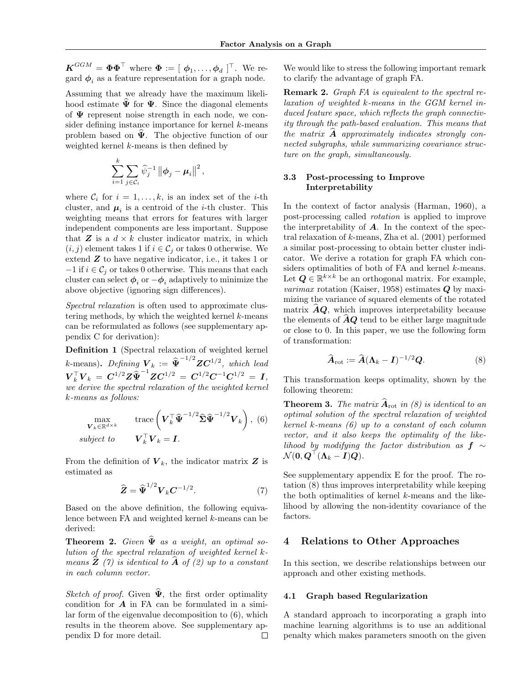$\boldsymbol{K}^{GGM} = \boldsymbol{\Phi}\boldsymbol{\Phi}^{\top}$  where  $\boldsymbol{\Phi} := [$   $\boldsymbol{\phi}_1, \ldots, \boldsymbol{\phi}_d$  ]<sup>™</sup>. We regard  $\phi_i$  as a feature representation for a graph node.

Assuming that we already have the maximum likelihood estimate  $\hat{\Psi}$  for  $\Psi$ . Since the diagonal elements of **Ψ** represent noise strength in each node, we consider defining instance importance for kernel *k*-means problem based on  $\hat{\Psi}$ . The objective function of our weighted kernel *k*-means is then defined by

$$
\sum_{i=1}^k \sum_{j \in \mathcal{C}_i} \widehat{\psi}_j^{-1} \left\| \boldsymbol{\phi}_j - \boldsymbol{\mu}_i \right\|^2,
$$

where  $C_i$  for  $i = 1, \ldots, k$ , is an index set of the *i*-th cluster, and  $\mu_i$  is a centroid of the *i*-th cluster. This weighting means that errors for features with larger independent components are less important. Suppose that  $Z$  is a  $d \times k$  cluster indicator matrix, in which  $(i, j)$  element takes 1 if  $i \in C_j$  or takes 0 otherwise. We extend *Z* to have negative indicator, i.e., it takes 1 or  $-1$  if  $i \in C_j$  or takes 0 otherwise. This means that each cluster can select  $\phi_i$  or  $-\phi_i$  adaptively to minimize the above objective (ignoring sign differences).

*Spectral relaxation* is often used to approximate clustering methods, by which the weighted kernel *k*-means can be reformulated as follows (see supplementary appendix C for derivation):

**Definition 1** (Spectral relaxation of weighted kernel *k*-means). Defining  $V_k := \hat{\Psi}^{-1/2} Z C^{1/2}$ , which lead  $V_k^\top V_k = C^{1/2} Z \widehat{\Psi}^{-1} Z C^{1/2} = C^{1/2} C^{-1} C^{1/2} = I,$ *we derive the spectral relaxation of the weighted kernel k-means as follows:*

$$
\max_{\mathbf{V}_k \in \mathbb{R}^{d \times k}} \qquad \text{trace}\left(\mathbf{V}_k^\top \widehat{\mathbf{\Psi}}^{-1/2} \widehat{\boldsymbol{\Sigma}} \widehat{\mathbf{\Psi}}^{-1/2} \mathbf{V}_k\right), (6) \nsubject to \qquad \mathbf{V}_k^\top \mathbf{V}_k = \mathbf{I}.
$$

From the definition of  $V_k$ , the indicator matrix **Z** is estimated as

$$
\widehat{\mathbf{Z}} = \widehat{\mathbf{\Psi}}^{1/2} \mathbf{V}_k \mathbf{C}^{-1/2}.
$$
 (7)

Based on the above definition, the following equivalence between FA and weighted kernel *k*-means can be derived:

**Theorem 2.** *Given*  $\widehat{\Psi}$  *as a weight, an optimal solution of the spectral relaxation of weighted kernel kmeans*  $\hat{\mathbf{Z}}$  (7) is identical to  $\hat{\mathbf{A}}$  of (2) up to a constant *in each column vector.*

*Sketch of proof.* Given  $\hat{\Psi}$ , the first order optimality condition for *A* in FA can be formulated in a similar form of the eigenvalue decomposition to (6), which results in the theorem above. See supplementary appendix D for more detail. □ We would like to stress the following important remark to clarify the advantage of graph FA.

**Remark 2.** *Graph FA is equivalent to the spectral relaxation of weighted k-means in the GGM kernel induced feature space, which reflects the graph connectivity through the path-based evaluation. This means that the matrix A*b *approximately indicates strongly connected subgraphs, while summarizing covariance structure on the graph, simultaneously.*

### **3.3 Post-processing to Improve Interpretability**

In the context of factor analysis (Harman, 1960), a post-processing called *rotation* is applied to improve the interpretability of *A*. In the context of the spectral relaxation of *k*-means, Zha et al. (2001) performed a similar post-processing to obtain better cluster indicator. We derive a rotation for graph FA which considers optimalities of both of FA and kernel *k*-means. Let  $Q \in \mathbb{R}^{k \times k}$  be an orthogonal matrix. For example, *varimax* rotation (Kaiser, 1958) estimates *Q* by maximizing the variance of squared elements of the rotated matrix  $AQ$ , which improves interpretability because the elements of  $AQ$  tend to be either large magnitude or close to 0. In this paper, we use the following form of transformation:

$$
\widehat{\boldsymbol{A}}_{\rm rot} := \widehat{\boldsymbol{A}} (\boldsymbol{\Lambda}_k - \boldsymbol{I})^{-1/2} \boldsymbol{Q}.
$$
 (8)

This transformation keeps optimality, shown by the following theorem:

**Theorem 3.** *The matrix*  $\widehat{A}_{\text{rot}}$  *in (8) is identical to an optimal solution of the spectral relaxation of weighted kernel k-means (6) up to a constant of each column vector, and it also keeps the optimality of the likelihood by modifying the factor distribution as*  $f \sim$  $\mathcal{N}(\mathbf{0},\boldsymbol{Q}^\top(\boldsymbol{\Lambda}_k-\boldsymbol{I})\boldsymbol{Q}).$ 

See supplementary appendix E for the proof. The rotation (8) thus improves interpretability while keeping the both optimalities of kernel *k*-means and the likelihood by allowing the non-identity covariance of the factors.

## **4 Relations to Other Approaches**

In this section, we describe relationships between our approach and other existing methods.

#### **4.1 Graph based Regularization**

A standard approach to incorporating a graph into machine learning algorithms is to use an additional penalty which makes parameters smooth on the given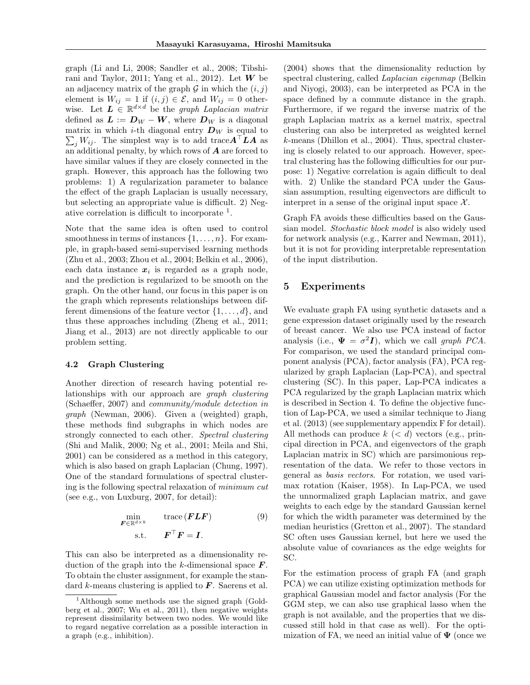graph (Li and Li, 2008; Sandler et al., 2008; Tibshirani and Taylor, 2011; Yang et al., 2012). Let  $W$  be an adjacency matrix of the graph  $G$  in which the  $(i, j)$ element is  $W_{ij} = 1$  if  $(i, j) \in \mathcal{E}$ , and  $W_{ij} = 0$  otherwise. Let  $L \in \mathbb{R}^{d \times d}$  be the *graph Laplacian matrix* defined as  $L := D_W - W$ , where  $D_W$  is a diagonal matrix in which *i*-th diagonal entry  $D_W$  is equal to  $\sum_{j} W_{ij}$ . The simplest way is to add trace $A^{\top}LA$  as an additional penalty, by which rows of *A* are forced to have similar values if they are closely connected in the graph. However, this approach has the following two problems: 1) A regularization parameter to balance the effect of the graph Laplacian is usually necessary, but selecting an appropriate value is difficult. 2) Negative correlation is difficult to incorporate  $<sup>1</sup>$ .</sup>

Note that the same idea is often used to control smoothness in terms of instances  $\{1, \ldots, n\}$ . For example, in graph-based semi-supervised learning methods (Zhu et al., 2003; Zhou et al., 2004; Belkin et al., 2006), each data instance  $x_i$  is regarded as a graph node, and the prediction is regularized to be smooth on the graph. On the other hand, our focus in this paper is on the graph which represents relationships between different dimensions of the feature vector  $\{1, \ldots, d\}$ , and thus these approaches including (Zheng et al., 2011; Jiang et al., 2013) are not directly applicable to our problem setting.

#### **4.2 Graph Clustering**

Another direction of research having potential relationships with our approach are *graph clustering* (Schaeffer, 2007) and *community/module detection in graph* (Newman, 2006). Given a (weighted) graph, these methods find subgraphs in which nodes are strongly connected to each other. *Spectral clustering* (Shi and Malik, 2000; Ng et al., 2001; Meila and Shi, 2001) can be considered as a method in this category, which is also based on graph Laplacian (Chung, 1997). One of the standard formulations of spectral clustering is the following spectral relaxation of *minimum cut* (see e.g., von Luxburg, 2007, for detail):

$$
\min_{\boldsymbol{F} \in \mathbb{R}^{d \times k}} \qquad \text{trace} (\boldsymbol{F} \boldsymbol{L} \boldsymbol{F}) \tag{9}
$$
\n
$$
\text{s.t.} \qquad \boldsymbol{F}^{\top} \boldsymbol{F} = \boldsymbol{I}.
$$

This can also be interpreted as a dimensionality reduction of the graph into the *k*-dimensional space *F*. To obtain the cluster assignment, for example the standard *k*-means clustering is applied to *F*. Saerens et al.

(2004) shows that the dimensionality reduction by spectral clustering, called *Laplacian eigenmap* (Belkin and Niyogi, 2003), can be interpreted as PCA in the space defined by a commute distance in the graph. Furthermore, if we regard the inverse matrix of the graph Laplacian matrix as a kernel matrix, spectral clustering can also be interpreted as weighted kernel *k*-means (Dhillon et al., 2004). Thus, spectral clustering is closely related to our approach. However, spectral clustering has the following difficulties for our purpose: 1) Negative correlation is again difficult to deal with. 2) Unlike the standard PCA under the Gaussian assumption, resulting eigenvectors are difficult to interpret in a sense of the original input space  $\mathcal{X}$ .

Graph FA avoids these difficulties based on the Gaussian model. *Stochastic block model* is also widely used for network analysis (e.g., Karrer and Newman, 2011), but it is not for providing interpretable representation of the input distribution.

## **5 Experiments**

We evaluate graph FA using synthetic datasets and a gene expression dataset originally used by the research of breast cancer. We also use PCA instead of factor analysis (i.e.,  $\Psi = \sigma^2 I$ ), which we call *graph PCA*. For comparison, we used the standard principal component analysis (PCA), factor analysis (FA), PCA regularized by graph Laplacian (Lap-PCA), and spectral clustering (SC). In this paper, Lap-PCA indicates a PCA regularized by the graph Laplacian matrix which is described in Section 4. To define the objective function of Lap-PCA, we used a similar technique to Jiang et al. (2013) (see supplementary appendix F for detail). All methods can produce *k* (*< d*) vectors (e.g., principal direction in PCA, and eigenvectors of the graph Laplacian matrix in SC) which are parsimonious representation of the data. We refer to those vectors in general as *basis vectors*. For rotation, we used varimax rotation (Kaiser, 1958). In Lap-PCA, we used the unnormalized graph Laplacian matrix, and gave weights to each edge by the standard Gaussian kernel for which the width parameter was determined by the median heuristics (Gretton et al., 2007). The standard SC often uses Gaussian kernel, but here we used the absolute value of covariances as the edge weights for SC.

For the estimation process of graph FA (and graph PCA) we can utilize existing optimization methods for graphical Gaussian model and factor analysis (For the GGM step, we can also use graphical lasso when the graph is not available, and the properties that we discussed still hold in that case as well). For the optimization of FA, we need an initial value of **Ψ** (once we

<sup>&</sup>lt;sup>1</sup>Although some methods use the signed graph (Goldberg et al., 2007; Wu et al., 2011), then negative weights represent dissimilarity between two nodes. We would like to regard negative correlation as a possible interaction in a graph (e.g., inhibition).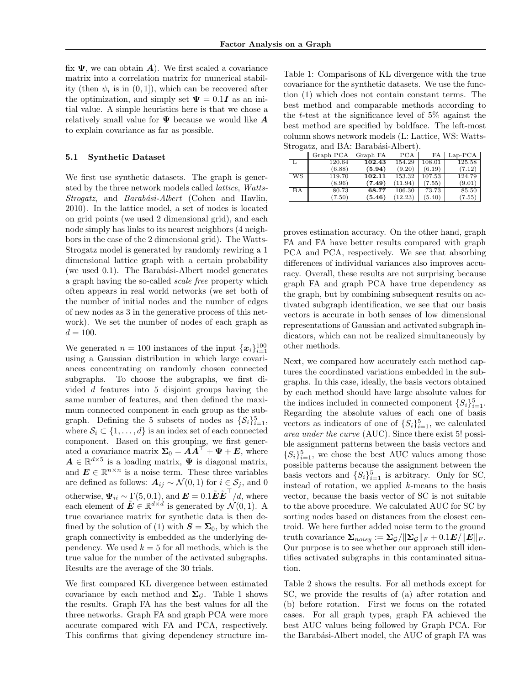fix **Ψ**, we can obtain *A*). We first scaled a covariance matrix into a correlation matrix for numerical stability (then  $\psi_i$  is in  $(0,1]$ ), which can be recovered after the optimization, and simply set  $\Psi = 0.1$ *I* as an initial value. A simple heuristics here is that we chose a relatively small value for **Ψ** because we would like *A* to explain covariance as far as possible.

#### **5.1 Synthetic Dataset**

We first use synthetic datasets. The graph is generated by the three network models called *lattice*, *Watts-Strogatz*, and *Barab´asi-Albert* (Cohen and Havlin, 2010). In the lattice model, a set of nodes is located on grid points (we used 2 dimensional grid), and each node simply has links to its nearest neighbors (4 neighbors in the case of the 2 dimensional grid). The Watts-Strogatz model is generated by randomly rewiring a 1 dimensional lattice graph with a certain probability (we used 0.1). The Barabási-Albert model generates a graph having the so-called *scale free* property which often appears in real world networks (we set both of the number of initial nodes and the number of edges of new nodes as 3 in the generative process of this network). We set the number of nodes of each graph as  $d = 100.$ 

We generated  $n = 100$  instances of the input  $\{x_i\}_{i=1}^{100}$ using a Gaussian distribution in which large covariances concentrating on randomly chosen connected subgraphs. To choose the subgraphs, we first divided *d* features into 5 disjoint groups having the same number of features, and then defined the maximum connected component in each group as the subgraph. Defining the 5 subsets of nodes as  $\{S_i\}_{i=1}^5$ , where  $S_i \subset \{1, \ldots, d\}$  is an index set of each connected component. Based on this grouping, we first generated a covariance matrix  $\Sigma_0 = AA^\top + \Psi + E$ , where  $A \in \mathbb{R}^{d \times 5}$  is a loading matrix,  $\Psi$  is diagonal matrix, and  $\mathbf{E} \in \mathbb{R}^{n \times n}$  is a noise term. These three variables are defined as follows:  $\mathbf{A}_{ij}$  ∼  $\mathcal{N}(0,1)$  for  $i \in \mathcal{S}_j$ , and 0 otherwise,  $\Psi_{ii} \sim \Gamma(5, 0.1)$ , and  $\boldsymbol{E} = 0.1 \tilde{\boldsymbol{E}} \tilde{\boldsymbol{E}}^{\top}/d$ , where each element of  $\tilde{E} \in \mathbb{R}^{d \times d}$  is generated by  $\mathcal{N}(0, 1)$ . A true covariance matrix for synthetic data is then defined by the solution of (1) with  $S = \Sigma_0$ , by which the graph connectivity is embedded as the underlying dependency. We used  $k = 5$  for all methods, which is the true value for the number of the activated subgraphs. Results are the average of the 30 trials.

We first compared KL divergence between estimated covariance by each method and  $\Sigma_{\mathcal{G}}$ . Table 1 shows the results. Graph FA has the best values for all the three networks. Graph FA and graph PCA were more accurate compared with FA and PCA, respectively. This confirms that giving dependency structure im-

Table 1: Comparisons of KL divergence with the true covariance for the synthetic datasets. We use the function (1) which does not contain constant terms. The best method and comparable methods according to the *t*-test at the significance level of 5% against the best method are specified by boldface. The left-most column shows network models (L: Lattice, WS: Watts-Strogatz, and BA: Barabási-Albert).

|                        | Graph PCA | Graph FA | PCA     | FA     | $Lap-PCA$ |
|------------------------|-----------|----------|---------|--------|-----------|
| L                      | 120.64    | 102.43   | 154.29  | 108.01 | 125.58    |
|                        | (6.88)    | (5.94)   | (9.20)  | (6.19) | (7.12)    |
| $\overline{\text{WS}}$ | 119.70    | 102.11   | 153.32  | 107.53 | 124.79    |
|                        | (8.96)    | (7.49)   | (11.94) | (7.55) | (9.01)    |
| ВA                     | 80.73     | 68.77    | 106.30  | 73.73  | 85.50     |
|                        | (7.50)    | (5.46)   | (12.23) | (5.40) | (7.55)    |

proves estimation accuracy. On the other hand, graph FA and FA have better results compared with graph PCA and PCA, respectively. We see that absorbing differences of individual variances also improves accuracy. Overall, these results are not surprising because graph FA and graph PCA have true dependency as the graph, but by combining subsequent results on activated subgraph identification, we see that our basis vectors is accurate in both senses of low dimensional representations of Gaussian and activated subgraph indicators, which can not be realized simultaneously by other methods.

Next, we compared how accurately each method captures the coordinated variations embedded in the subgraphs. In this case, ideally, the basis vectors obtained by each method should have large absolute values for the indices included in connected component  $\{S_i\}_{i=1}^5$ . Regarding the absolute values of each one of basis vectors as indicators of one of  $\{S_i\}_{i=1}^5$ , we calculated *area under the curve* (AUC). Since there exist 5! possible assignment patterns between the basis vectors and  ${S_i}_{i=1}^5$ , we chose the best AUC values among those possible patterns because the assignment between the basis vectors and  $\{S_i\}_{i=1}^5$  is arbitrary. Only for SC, instead of rotation, we applied *k*-means to the basis vector, because the basis vector of SC is not suitable to the above procedure. We calculated AUC for SC by sorting nodes based on distances from the closest centroid. We here further added noise term to the ground truth covariance  $\sum_{noisy}$  :=  $\sum_{\mathcal{G}} / ||\sum_{\mathcal{G}}||_F + 0.1E/||E||_F$ . Our purpose is to see whether our approach still identifies activated subgraphs in this contaminated situation.

Table 2 shows the results. For all methods except for SC, we provide the results of (a) after rotation and (b) before rotation. First we focus on the rotated cases. For all graph types, graph FA achieved the best AUC values being followed by Graph PCA. For the Barabási-Albert model, the AUC of graph FA was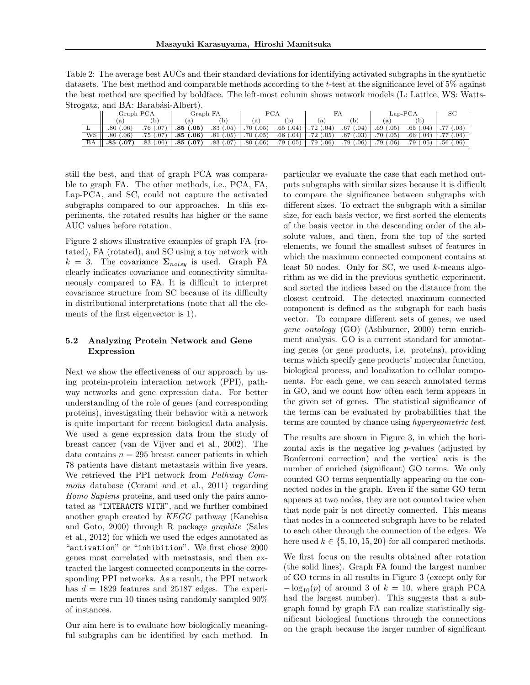| Table 2: The average best AUCs and their standard deviations for identifying activated subgraphs in the synthetic   |
|---------------------------------------------------------------------------------------------------------------------|
| datasets. The best method and comparable methods according to the t-test at the significance level of $5\%$ against |
| the best method are specified by boldface. The left-most column shows network models (L: Lattice, WS: Watts-        |
| Strogatz, and BA: Barabási-Albert).                                                                                 |

|    | Graph PCA               |                         | Graph FA             |                      | PCA                               |             | гд                      |                         | $Lap-PCA$            |                      | SС                     |
|----|-------------------------|-------------------------|----------------------|----------------------|-----------------------------------|-------------|-------------------------|-------------------------|----------------------|----------------------|------------------------|
|    | 'a)                     | b                       | a                    |                      | a                                 |             | a                       | D.                      | l a                  |                      |                        |
|    | $.06^{\circ}$<br>.80    | .76<br>.07              | .85<br>.05           | $.05^{\circ}$<br>.83 | .70 <sub>4</sub><br>$.05^{\circ}$ | .65<br>.04) | .72<br>.04 <sup>5</sup> | .67<br>$.04^{\circ}$    | .69<br>$.05^{\circ}$ | .65<br>$.04^{\circ}$ | 55<br>.03)             |
| WS | .80<br>.06 <sup>3</sup> | .07<br>.75              | .85<br>$.06^{\circ}$ | $.05^{\circ}$<br>.81 | .05 <sup>5</sup><br>.70 /         | .66<br>.04) | .72<br>.05)             | .67<br>.03)             | .05<br>.70           | .66                  | 77<br>.04 <sup>5</sup> |
| ΒA | .07<br>.85              | .06 <sup>2</sup><br>.83 | .85<br>0.07          | .07<br>.83           | $.80\,$<br>.06 <sup>2</sup>       | .05)<br>.79 | .79<br>.06)             | .79<br>.06 <sup>3</sup> | .79<br>$.06^{\circ}$ | $.05^{\circ}$<br>.79 | (0.06)<br>.56          |

still the best, and that of graph PCA was comparable to graph FA. The other methods, i.e., PCA, FA, Lap-PCA, and SC, could not capture the activated subgraphs compared to our approaches. In this experiments, the rotated results has higher or the same AUC values before rotation.

Figure 2 shows illustrative examples of graph FA (rotated), FA (rotated), and SC using a toy network with  $k = 3$ . The covariance  $\Sigma_{noisy}$  is used. Graph FA clearly indicates covariance and connectivity simultaneously compared to FA. It is difficult to interpret covariance structure from SC because of its difficulty in distributional interpretations (note that all the elements of the first eigenvector is 1).

## **5.2 Analyzing Protein Network and Gene Expression**

Next we show the effectiveness of our approach by using protein-protein interaction network (PPI), pathway networks and gene expression data. For better understanding of the role of genes (and corresponding proteins), investigating their behavior with a network is quite important for recent biological data analysis. We used a gene expression data from the study of breast cancer (van de Vijver and et al., 2002). The data contains  $n = 295$  breast cancer patients in which 78 patients have distant metastasis within five years. We retrieved the PPI network from *Pathway Commons* database (Cerami and et al., 2011) regarding *Homo Sapiens* proteins, and used only the pairs annotated as "INTERACTS WITH", and we further combined another graph created by *KEGG* pathway (Kanehisa and Goto, 2000) through R package *graphite* (Sales et al., 2012) for which we used the edges annotated as "activation" or "inhibition". We first chose 2000 genes most correlated with metastasis, and then extracted the largest connected components in the corresponding PPI networks. As a result, the PPI network has  $d = 1829$  features and 25187 edges. The experiments were run 10 times using randomly sampled 90% of instances.

Our aim here is to evaluate how biologically meaningful subgraphs can be identified by each method. In

particular we evaluate the case that each method outputs subgraphs with similar sizes because it is difficult to compare the significance between subgraphs with different sizes. To extract the subgraph with a similar size, for each basis vector, we first sorted the elements of the basis vector in the descending order of the absolute values, and then, from the top of the sorted elements, we found the smallest subset of features in which the maximum connected component contains at least 50 nodes. Only for SC, we used *k*-means algorithm as we did in the previous synthetic experiment, and sorted the indices based on the distance from the closest centroid. The detected maximum connected component is defined as the subgraph for each basis vector. To compare different sets of genes, we used *gene ontology* (GO) (Ashburner, 2000) term enrichment analysis. GO is a current standard for annotating genes (or gene products, i.e. proteins), providing terms which specify gene products' molecular function, biological process, and localization to cellular components. For each gene, we can search annotated terms in GO, and we count how often each term appears in the given set of genes. The statistical significance of the terms can be evaluated by probabilities that the terms are counted by chance using *hypergeometric test*.

The results are shown in Figure 3, in which the horizontal axis is the negative log *p*-values (adjusted by Bonferroni correction) and the vertical axis is the number of enriched (significant) GO terms. We only counted GO terms sequentially appearing on the connected nodes in the graph. Even if the same GO term appears at two nodes, they are not counted twice when that node pair is not directly connected. This means that nodes in a connected subgraph have to be related to each other through the connection of the edges. We here used  $k \in \{5, 10, 15, 20\}$  for all compared methods.

We first focus on the results obtained after rotation (the solid lines). Graph FA found the largest number of GO terms in all results in Figure 3 (except only for  $-\log_{10}(p)$  of around 3 of  $k = 10$ , where graph PCA had the largest number). This suggests that a subgraph found by graph FA can realize statistically significant biological functions through the connections on the graph because the larger number of significant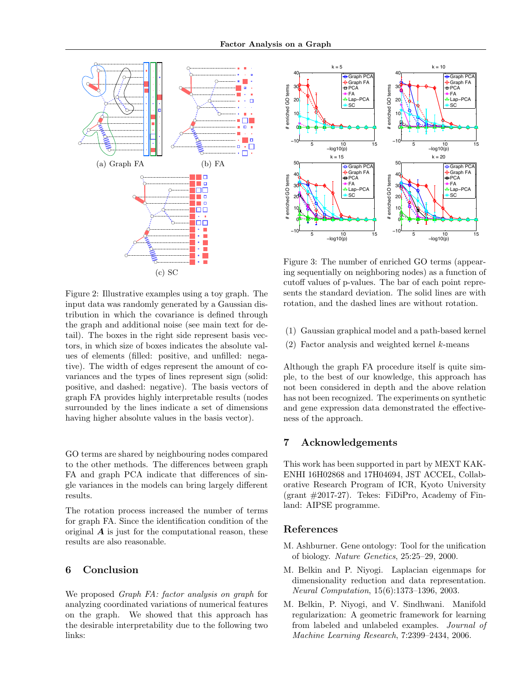

Figure 2: Illustrative examples using a toy graph. The input data was randomly generated by a Gaussian distribution in which the covariance is defined through the graph and additional noise (see main text for detail). The boxes in the right side represent basis vectors, in which size of boxes indicates the absolute values of elements (filled: positive, and unfilled: negative). The width of edges represent the amount of covariances and the types of lines represent sign (solid: positive, and dashed: negative). The basis vectors of graph FA provides highly interpretable results (nodes surrounded by the lines indicate a set of dimensions having higher absolute values in the basis vector).

GO terms are shared by neighbouring nodes compared to the other methods. The differences between graph FA and graph PCA indicate that differences of single variances in the models can bring largely different results.

The rotation process increased the number of terms for graph FA. Since the identification condition of the original *A* is just for the computational reason, these results are also reasonable.

# **6 Conclusion**

We proposed *Graph FA: factor analysis on graph* for analyzing coordinated variations of numerical features on the graph. We showed that this approach has the desirable interpretability due to the following two links:



Figure 3: The number of enriched GO terms (appearing sequentially on neighboring nodes) as a function of cutoff values of p-values. The bar of each point represents the standard deviation. The solid lines are with rotation, and the dashed lines are without rotation.

- (1) Gaussian graphical model and a path-based kernel
- (2) Factor analysis and weighted kernel *k*-means

Although the graph FA procedure itself is quite simple, to the best of our knowledge, this approach has not been considered in depth and the above relation has not been recognized. The experiments on synthetic and gene expression data demonstrated the effectiveness of the approach.

# **7 Acknowledgements**

This work has been supported in part by MEXT KAK-ENHI 16H02868 and 17H04694, JST ACCEL, Collaborative Research Program of ICR, Kyoto University (grant  $\#2017-27$ ). Tekes: FiDiPro, Academy of Finland: AIPSE programme.

#### **References**

- M. Ashburner. Gene ontology: Tool for the unification of biology. *Nature Genetics*, 25:25–29, 2000.
- M. Belkin and P. Niyogi. Laplacian eigenmaps for dimensionality reduction and data representation. *Neural Computation*, 15(6):1373–1396, 2003.
- M. Belkin, P. Niyogi, and V. Sindhwani. Manifold regularization: A geometric framework for learning from labeled and unlabeled examples. *Journal of Machine Learning Research*, 7:2399–2434, 2006.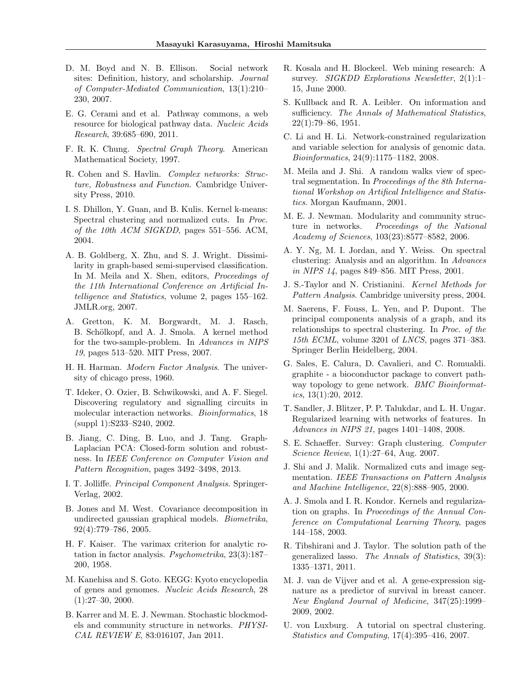- D. M. Boyd and N. B. Ellison. Social network sites: Definition, history, and scholarship. *Journal of Computer-Mediated Communication*, 13(1):210– 230, 2007.
- E. G. Cerami and et al. Pathway commons, a web resource for biological pathway data. *Nucleic Acids Research*, 39:685–690, 2011.
- F. R. K. Chung. *Spectral Graph Theory*. American Mathematical Society, 1997.
- R. Cohen and S. Havlin. *Complex networks: Structure, Robustness and Function*. Cambridge University Press, 2010.
- I. S. Dhillon, Y. Guan, and B. Kulis. Kernel k-means: Spectral clustering and normalized cuts. In *Proc. of the 10th ACM SIGKDD*, pages 551–556. ACM, 2004.
- A. B. Goldberg, X. Zhu, and S. J. Wright. Dissimilarity in graph-based semi-supervised classification. In M. Meila and X. Shen, editors, *Proceedings of the 11th International Conference on Artificial Intelligence and Statistics*, volume 2, pages 155–162. JMLR.org, 2007.
- A. Gretton, K. M. Borgwardt, M. J. Rasch, B. Schölkopf, and A. J. Smola. A kernel method for the two-sample-problem. In *Advances in NIPS 19*, pages 513–520. MIT Press, 2007.
- H. H. Harman. *Modern Factor Analysis*. The university of chicago press, 1960.
- T. Ideker, O. Ozier, B. Schwikowski, and A. F. Siegel. Discovering regulatory and signalling circuits in molecular interaction networks. *Bioinformatics*, 18 (suppl 1):S233–S240, 2002.
- B. Jiang, C. Ding, B. Luo, and J. Tang. Graph-Laplacian PCA: Closed-form solution and robustness. In *IEEE Conference on Computer Vision and Pattern Recognition*, pages 3492–3498, 2013.
- I. T. Jolliffe. *Principal Component Analysis*. Springer-Verlag, 2002.
- B. Jones and M. West. Covariance decomposition in undirected gaussian graphical models. *Biometrika*, 92(4):779–786, 2005.
- H. F. Kaiser. The varimax criterion for analytic rotation in factor analysis. *Psychometrika*, 23(3):187– 200, 1958.
- M. Kanehisa and S. Goto. KEGG: Kyoto encyclopedia of genes and genomes. *Nucleic Acids Research*, 28  $(1):27-30, 2000.$
- B. Karrer and M. E. J. Newman. Stochastic blockmodels and community structure in networks. *PHYSI-CAL REVIEW E*, 83:016107, Jan 2011.
- R. Kosala and H. Blockeel. Web mining research: A survey. *SIGKDD Explorations Newsletter*, 2(1):1– 15, June 2000.
- S. Kullback and R. A. Leibler. On information and sufficiency. *The Annals of Mathematical Statistics*, 22(1):79–86, 1951.
- C. Li and H. Li. Network-constrained regularization and variable selection for analysis of genomic data. *Bioinformatics*, 24(9):1175–1182, 2008.
- M. Meila and J. Shi. A random walks view of spectral segmentation. In *Proceedings of the 8th International Workshop on Artifical Intelligence and Statistics*. Morgan Kaufmann, 2001.
- M. E. J. Newman. Modularity and community structure in networks. *Proceedings of the National Academy of Sciences*, 103(23):8577–8582, 2006.
- A. Y. Ng, M. I. Jordan, and Y. Weiss. On spectral clustering: Analysis and an algorithm. In *Advances in NIPS 14*, pages 849–856. MIT Press, 2001.
- J. S.-Taylor and N. Cristianini. *Kernel Methods for Pattern Analysis*. Cambridge university press, 2004.
- M. Saerens, F. Fouss, L. Yen, and P. Dupont. The principal components analysis of a graph, and its relationships to spectral clustering. In *Proc. of the 15th ECML*, volume 3201 of *LNCS*, pages 371–383. Springer Berlin Heidelberg, 2004.
- G. Sales, E. Calura, D. Cavalieri, and C. Romualdi. graphite - a bioconductor package to convert pathway topology to gene network. *BMC Bioinformatics*, 13(1):20, 2012.
- T. Sandler, J. Blitzer, P. P. Talukdar, and L. H. Ungar. Regularized learning with networks of features. In *Advances in NIPS 21*, pages 1401–1408, 2008.
- S. E. Schaeffer. Survey: Graph clustering. *Computer Science Review*, 1(1):27–64, Aug. 2007.
- J. Shi and J. Malik. Normalized cuts and image segmentation. *IEEE Transactions on Pattern Analysis and Machine Intelligence*, 22(8):888–905, 2000.
- A. J. Smola and I. R. Kondor. Kernels and regularization on graphs. In *Proceedings of the Annual Conference on Computational Learning Theory*, pages 144–158, 2003.
- R. Tibshirani and J. Taylor. The solution path of the generalized lasso. *The Annals of Statistics*, 39(3): 1335–1371, 2011.
- M. J. van de Vijver and et al. A gene-expression signature as a predictor of survival in breast cancer. *New England Journal of Medicine*, 347(25):1999– 2009, 2002.
- U. von Luxburg. A tutorial on spectral clustering. *Statistics and Computing*, 17(4):395–416, 2007.